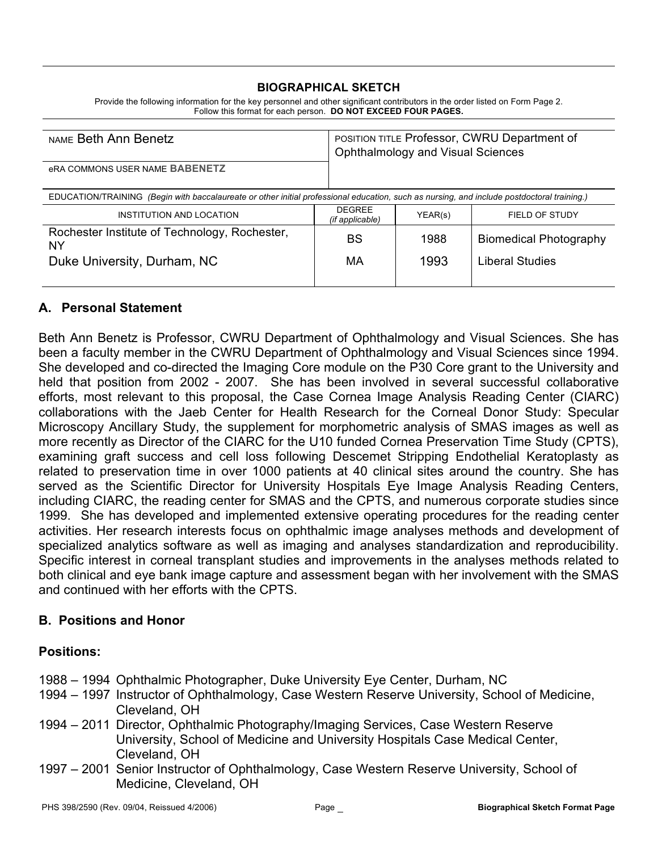#### **BIOGRAPHICAL SKETCH**

Provide the following information for the key personnel and other significant contributors in the order listed on Form Page 2. Follow this format for each person. **DO NOT EXCEED FOUR PAGES.**

| NAME Beth Ann Benetz                                                                                                                       |                                  | POSITION TITLE Professor, CWRU Department of<br>Ophthalmology and Visual Sciences |                               |  |
|--------------------------------------------------------------------------------------------------------------------------------------------|----------------------------------|-----------------------------------------------------------------------------------|-------------------------------|--|
| <b>eRA COMMONS USER NAME BABENETZ</b>                                                                                                      |                                  |                                                                                   |                               |  |
| EDUCATION/TRAINING (Begin with baccalaureate or other initial professional education, such as nursing, and include postdoctoral training.) |                                  |                                                                                   |                               |  |
| INSTITUTION AND LOCATION                                                                                                                   | <b>DEGREE</b><br>(if applicable) | YEAR(s)                                                                           | FIELD OF STUDY                |  |
| Rochester Institute of Technology, Rochester,<br>NΥ                                                                                        | BS                               | 1988                                                                              | <b>Biomedical Photography</b> |  |
| Duke University, Durham, NC                                                                                                                | MA                               | 1993                                                                              | <b>Liberal Studies</b>        |  |

#### **A. Personal Statement**

Beth Ann Benetz is Professor, CWRU Department of Ophthalmology and Visual Sciences. She has been a faculty member in the CWRU Department of Ophthalmology and Visual Sciences since 1994. She developed and co-directed the Imaging Core module on the P30 Core grant to the University and held that position from 2002 - 2007. She has been involved in several successful collaborative efforts, most relevant to this proposal, the Case Cornea Image Analysis Reading Center (CIARC) collaborations with the Jaeb Center for Health Research for the Corneal Donor Study: Specular Microscopy Ancillary Study, the supplement for morphometric analysis of SMAS images as well as more recently as Director of the CIARC for the U10 funded Cornea Preservation Time Study (CPTS), examining graft success and cell loss following Descemet Stripping Endothelial Keratoplasty as related to preservation time in over 1000 patients at 40 clinical sites around the country. She has served as the Scientific Director for University Hospitals Eye Image Analysis Reading Centers, including CIARC, the reading center for SMAS and the CPTS, and numerous corporate studies since 1999. She has developed and implemented extensive operating procedures for the reading center activities. Her research interests focus on ophthalmic image analyses methods and development of specialized analytics software as well as imaging and analyses standardization and reproducibility. Specific interest in corneal transplant studies and improvements in the analyses methods related to both clinical and eye bank image capture and assessment began with her involvement with the SMAS and continued with her efforts with the CPTS.

### **B. Positions and Honor**

#### **Positions:**

- 1988 1994 Ophthalmic Photographer, Duke University Eye Center, Durham, NC
- 1994 1997 Instructor of Ophthalmology, Case Western Reserve University, School of Medicine, Cleveland, OH
- 1994 2011 Director, Ophthalmic Photography/Imaging Services, Case Western Reserve University, School of Medicine and University Hospitals Case Medical Center, Cleveland, OH
- 1997 2001 Senior Instructor of Ophthalmology, Case Western Reserve University, School of Medicine, Cleveland, OH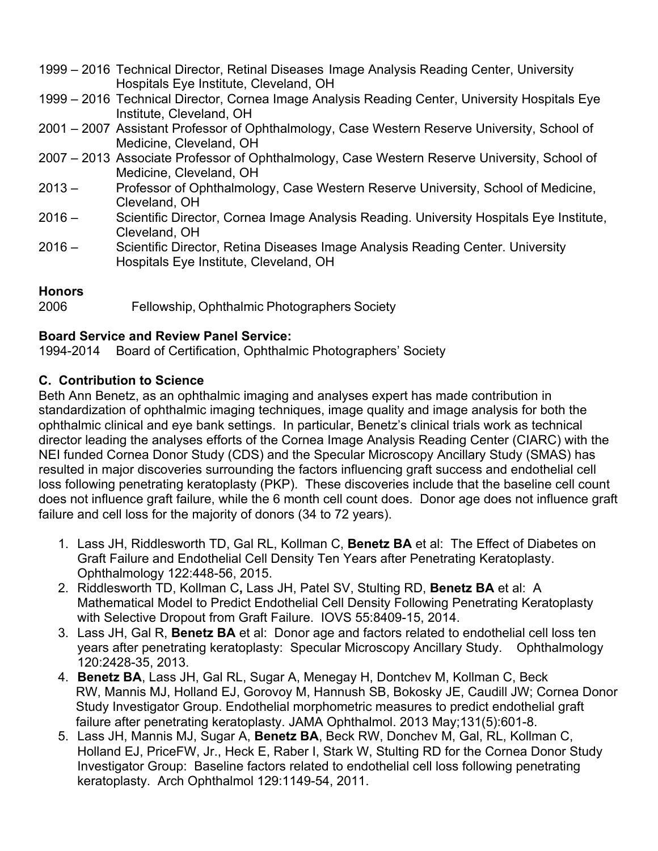- 1999 2016 Technical Director, Retinal Diseases Image Analysis Reading Center, University Hospitals Eye Institute, Cleveland, OH
- 1999 2016 Technical Director, Cornea Image Analysis Reading Center, University Hospitals Eye Institute, Cleveland, OH
- 2001 2007 Assistant Professor of Ophthalmology, Case Western Reserve University, School of Medicine, Cleveland, OH
- 2007 2013 Associate Professor of Ophthalmology, Case Western Reserve University, School of Medicine, Cleveland, OH
- 2013 Professor of Ophthalmology, Case Western Reserve University, School of Medicine, Cleveland, OH
- 2016 Scientific Director, Cornea Image Analysis Reading. University Hospitals Eye Institute, Cleveland, OH
- 2016 Scientific Director, Retina Diseases Image Analysis Reading Center. University Hospitals Eye Institute, Cleveland, OH

# **Honors**

2006 Fellowship, Ophthalmic Photographers Society

# **Board Service and Review Panel Service:**

1994-2014 Board of Certification, Ophthalmic Photographers' Society

# **C. Contribution to Science**

Beth Ann Benetz, as an ophthalmic imaging and analyses expert has made contribution in standardization of ophthalmic imaging techniques, image quality and image analysis for both the ophthalmic clinical and eye bank settings. In particular, Benetz's clinical trials work as technical director leading the analyses efforts of the Cornea Image Analysis Reading Center (CIARC) with the NEI funded Cornea Donor Study (CDS) and the Specular Microscopy Ancillary Study (SMAS) has resulted in major discoveries surrounding the factors influencing graft success and endothelial cell loss following penetrating keratoplasty (PKP). These discoveries include that the baseline cell count does not influence graft failure, while the 6 month cell count does. Donor age does not influence graft failure and cell loss for the majority of donors (34 to 72 years).

- 1. Lass JH, Riddlesworth TD, Gal RL, Kollman C, **Benetz BA** et al: The Effect of Diabetes on Graft Failure and Endothelial Cell Density Ten Years after Penetrating Keratoplasty. Ophthalmology 122:448-56, 2015.
- 2. Riddlesworth TD, Kollman C**,** Lass JH, Patel SV, Stulting RD, **Benetz BA** et al: A Mathematical Model to Predict Endothelial Cell Density Following Penetrating Keratoplasty with Selective Dropout from Graft Failure. IOVS 55:8409-15, 2014.
- 3. Lass JH, Gal R, **Benetz BA** et al: Donor age and factors related to endothelial cell loss ten years after penetrating keratoplasty: Specular Microscopy Ancillary Study. Ophthalmology 120:2428-35, 2013.
- 4. **Benetz BA**, Lass JH, Gal RL, Sugar A, Menegay H, Dontchev M, Kollman C, Beck RW, Mannis MJ, Holland EJ, Gorovoy M, Hannush SB, Bokosky JE, Caudill JW; Cornea Donor Study Investigator Group. Endothelial morphometric measures to predict endothelial graft failure after penetrating keratoplasty. JAMA Ophthalmol. 2013 May;131(5):601-8.
- 5. Lass JH, Mannis MJ, Sugar A, **Benetz BA**, Beck RW, Donchev M, Gal, RL, Kollman C, Holland EJ, PriceFW, Jr., Heck E, Raber I, Stark W, Stulting RD for the Cornea Donor Study Investigator Group: Baseline factors related to endothelial cell loss following penetrating keratoplasty. Arch Ophthalmol 129:1149-54, 2011.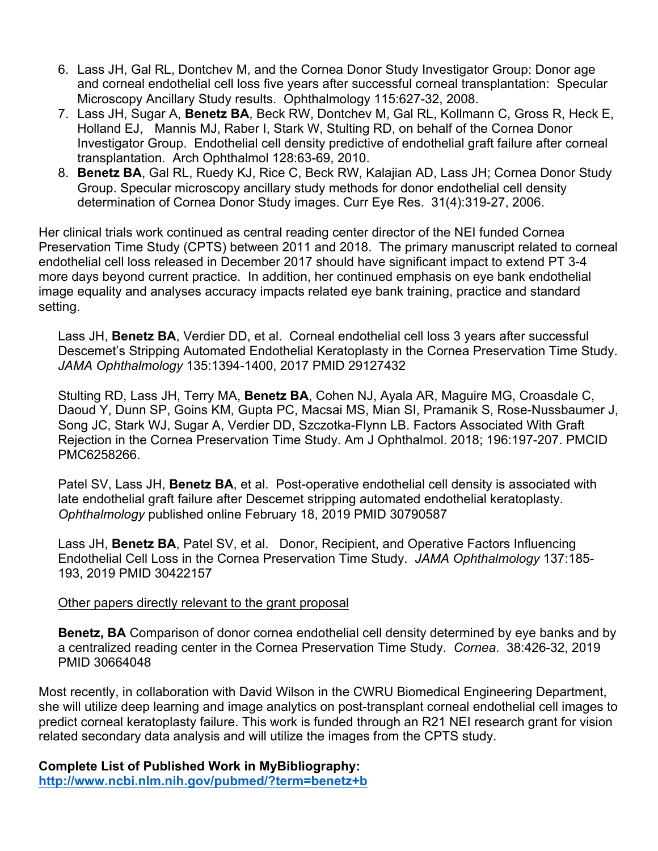- 6. Lass JH, Gal RL, Dontchev M, and the Cornea Donor Study Investigator Group: Donor age and corneal endothelial cell loss five years after successful corneal transplantation: Specular Microscopy Ancillary Study results. Ophthalmology 115:627-32, 2008.
- 7. Lass JH, Sugar A, **Benetz BA**, Beck RW, Dontchev M, Gal RL, Kollmann C, Gross R, Heck E, Holland EJ, Mannis MJ, Raber I, Stark W, Stulting RD, on behalf of the Cornea Donor Investigator Group. Endothelial cell density predictive of endothelial graft failure after corneal transplantation. Arch Ophthalmol 128:63-69, 2010.
- 8. **Benetz BA**, Gal RL, Ruedy KJ, Rice C, Beck RW, Kalajian AD, Lass JH; Cornea Donor Study Group. Specular microscopy ancillary study methods for donor endothelial cell density determination of Cornea Donor Study images. Curr Eye Res. 31(4):319-27, 2006.

Her clinical trials work continued as central reading center director of the NEI funded Cornea Preservation Time Study (CPTS) between 2011 and 2018. The primary manuscript related to corneal endothelial cell loss released in December 2017 should have significant impact to extend PT 3-4 more days beyond current practice. In addition, her continued emphasis on eye bank endothelial image equality and analyses accuracy impacts related eye bank training, practice and standard setting.

Lass JH, **Benetz BA**, Verdier DD, et al. Corneal endothelial cell loss 3 years after successful Descemet's Stripping Automated Endothelial Keratoplasty in the Cornea Preservation Time Study. *JAMA Ophthalmology* 135:1394-1400, 2017 PMID 29127432

Stulting RD, Lass JH, Terry MA, **Benetz BA**, Cohen NJ, Ayala AR, Maguire MG, Croasdale C, Daoud Y, Dunn SP, Goins KM, Gupta PC, Macsai MS, Mian SI, Pramanik S, Rose-Nussbaumer J, Song JC, Stark WJ, Sugar A, Verdier DD, Szczotka-Flynn LB. Factors Associated With Graft Rejection in the Cornea Preservation Time Study. Am J Ophthalmol. 2018; 196:197-207. PMCID PMC6258266.

Patel SV, Lass JH, **Benetz BA**, et al. Post-operative endothelial cell density is associated with late endothelial graft failure after Descemet stripping automated endothelial keratoplasty. *Ophthalmology* published online February 18, 2019 PMID 30790587

Lass JH, **Benetz BA**, Patel SV, et al. Donor, Recipient, and Operative Factors Influencing Endothelial Cell Loss in the Cornea Preservation Time Study. *JAMA Ophthalmology* 137:185- 193, 2019 PMID 30422157

### Other papers directly relevant to the grant proposal

**Benetz, BA** Comparison of donor cornea endothelial cell density determined by eye banks and by a centralized reading center in the Cornea Preservation Time Study. *Cornea*. 38:426-32, 2019 PMID 30664048

Most recently, in collaboration with David Wilson in the CWRU Biomedical Engineering Department, she will utilize deep learning and image analytics on post-transplant corneal endothelial cell images to predict corneal keratoplasty failure. This work is funded through an R21 NEI research grant for vision related secondary data analysis and will utilize the images from the CPTS study.

**Complete List of Published Work in MyBibliography: http://www.ncbi.nlm.nih.gov/pubmed/?term=benetz+b**